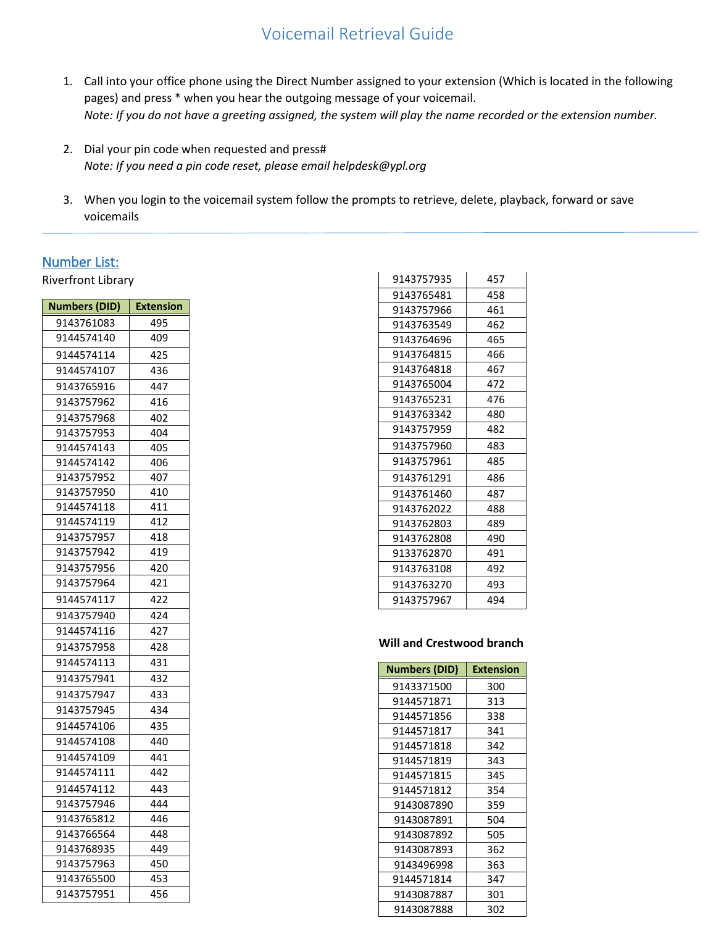## Voicemail Retrieval Guide

- 1. Call into your office phone using the Direct Number assigned to your extension (Which is located in the following pages) and press \* when you hear the outgoing message of your voicemail. *Note: If you do not have a greeting assigned, the system will play the name recorded or the extension number.*
- 2. Dial your pin code when requested and press# *Note: If you need a pin code reset, please email helpdesk@ypl.org*
- 3. When you login to the voicemail system follow the prompts to retrieve, delete, playback, forward or save voicemails

## Number List:

Riverfront Library

| <b>Numbers (DID)</b> | <b>Extension</b> |
|----------------------|------------------|
| 9143761083           | 495              |
| 9144574140           | 409              |
| 9144574114           | 425              |
| 9144574107           | 436              |
| 9143765916           | 447              |
| 9143757962           | 416              |
| 9143757968           | 402              |
| 9143757953           | 404              |
| 9144574143           | 405              |
| 9144574142           | 406              |
| 9143757952           | 407              |
| 9143757950           | 410              |
| 9144574118           | 411              |
| 9144574119           | 412              |
| 9143757957           | 418              |
| 9143757942           | 419              |
| 9143757956           | 420              |
| 9143757964           | 421              |
| 9144574117           | 422              |
| 9143757940           | 424              |
| 9144574116           | 427              |
| 9143757958           | 428              |
| 9144574113           | 431              |
| 9143757941           | 432              |
| 9143757947           | 433              |
| 9143757945           | 434              |
| 9144574106           | 435              |
| 9144574108           | 440              |
| 9144574109           | 441              |
| 9144574111           | 442              |
| 9144574112           | 443              |
| 9143757946           | 444              |
| 9143765812           | 446              |
| 9143766564           | 448              |
| 9143768935           | 449              |
| 9143757963           | 450              |
| 9143765500           | 453              |
| 9143757951           | 456              |

| 9143757935 | 457 |
|------------|-----|
| 9143765481 | 458 |
| 9143757966 | 461 |
| 9143763549 | 462 |
| 9143764696 | 465 |
| 9143764815 | 466 |
| 9143764818 | 467 |
| 9143765004 | 472 |
| 9143765231 | 476 |
| 9143763342 | 480 |
| 9143757959 | 482 |
| 9143757960 | 483 |
| 9143757961 | 485 |
| 9143761291 | 486 |
| 9143761460 | 487 |
| 9143762022 | 488 |
| 9143762803 | 489 |
| 9143762808 | 490 |
| 9133762870 | 491 |
| 9143763108 | 492 |
| 9143763270 | 493 |
| 9143757967 | 494 |

## **Will and Crestwood branch**

| <b>Numbers (DID)</b> | <b>Extension</b> |
|----------------------|------------------|
| 9143371500           | 300              |
| 9144571871           | 313              |
| 9144571856           | 338              |
| 9144571817           | 341              |
| 9144571818           | 342              |
| 9144571819           | 343              |
| 9144571815           | 345              |
| 9144571812           | 354              |
| 9143087890           | 359              |
| 9143087891           | 504              |
| 9143087892           | 505              |
| 9143087893           | 362              |
| 9143496998           | 363              |
| 9144571814           | 347              |
| 9143087887           | 301              |
| 9143087888           | 302              |